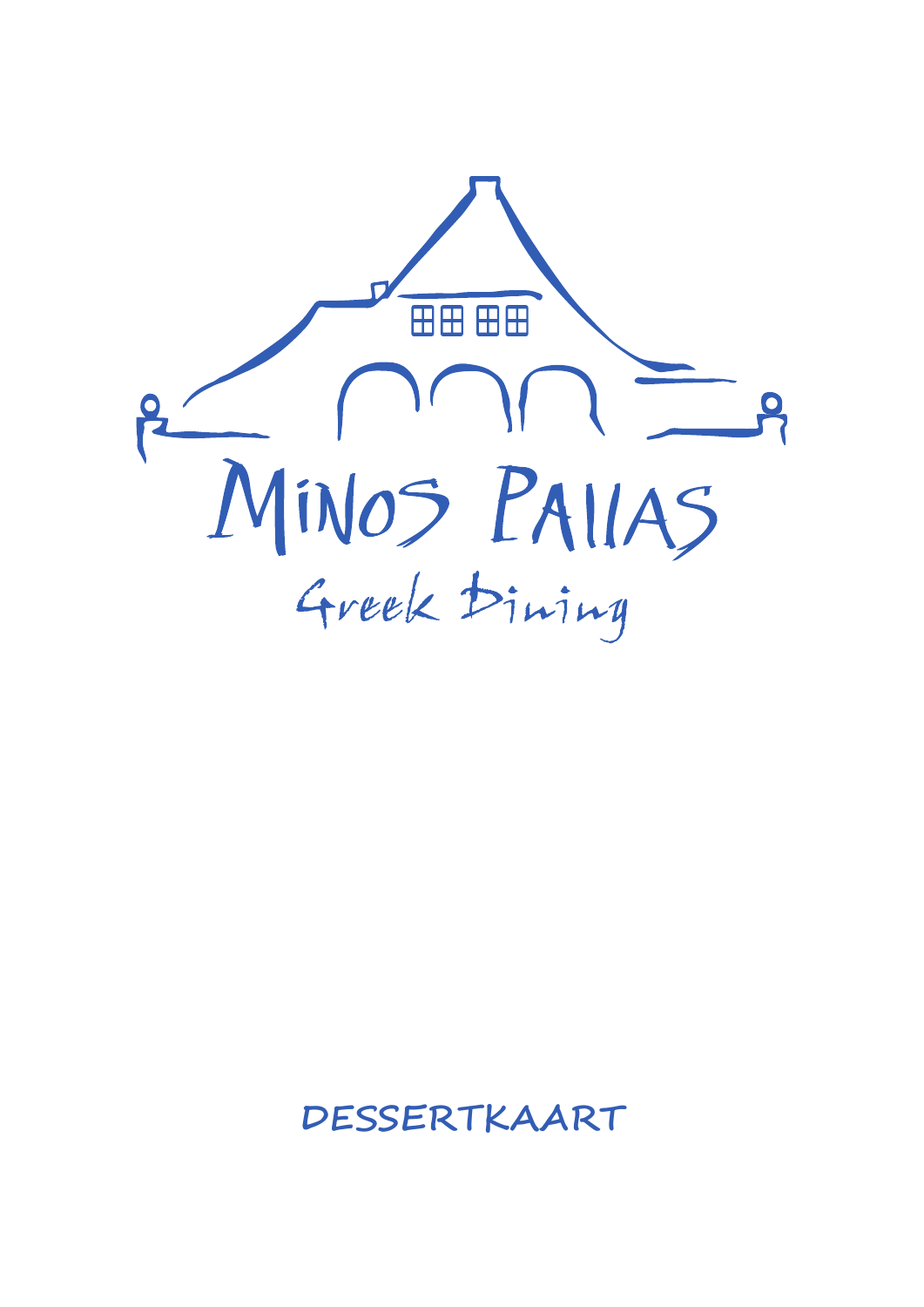

## **DESSERTKAART**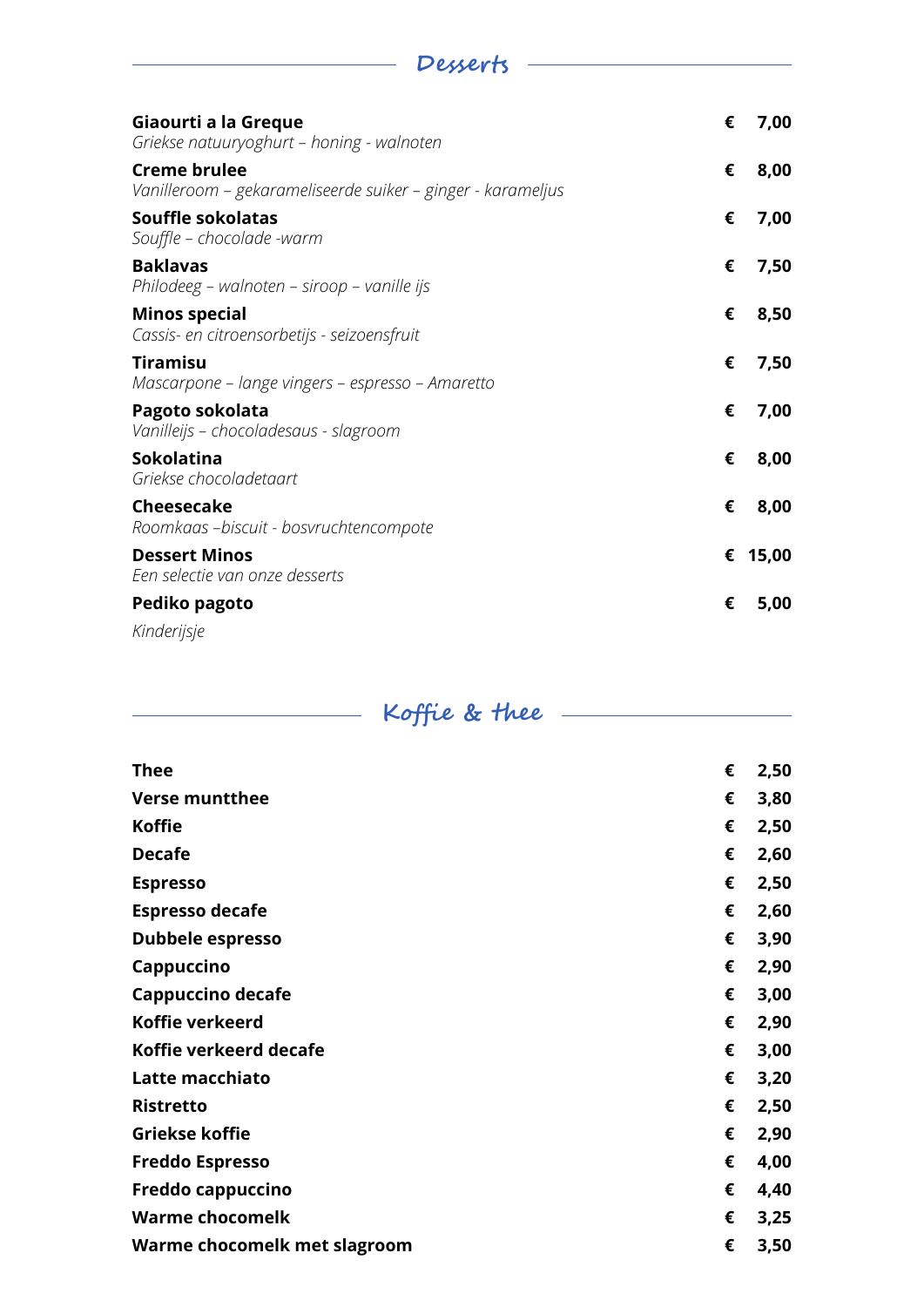| Giaourti a la Greque<br>Griekse natuuryoghurt - honing - walnoten                  | € | 7,00    |
|------------------------------------------------------------------------------------|---|---------|
| <b>Creme brulee</b><br>Vanilleroom – gekarameliseerde suiker – ginger - karameljus | € | 8,00    |
| Souffle sokolatas<br>Souffle - chocolade -warm                                     | € | 7,00    |
| <b>Baklavas</b><br>Philodeeg – walnoten – siroop – vanille ijs                     | € | 7,50    |
| <b>Minos special</b><br>Cassis- en citroensorbetijs - seizoensfruit                | € | 8,50    |
| <b>Tiramisu</b><br>Mascarpone – lange vingers – espresso – Amaretto                | € | 7,50    |
| Pagoto sokolata<br>Vanilleijs - chocoladesaus - slagroom                           | € | 7,00    |
| <b>Sokolatina</b><br>Griekse chocoladetaart                                        | € | 8,00    |
| Cheesecake<br>Roomkaas -biscuit - bosvruchtencompote                               | € | 8,00    |
| <b>Dessert Minos</b><br>Een selectie van onze desserts                             |   | € 15,00 |
| Pediko pagoto                                                                      | € | 5,00    |
| Kinderijsje                                                                        |   |         |

**Desserts** 

# **Koffie & thee**

| <b>Thee</b>                  | € | 2,50 |
|------------------------------|---|------|
| <b>Verse muntthee</b>        | € | 3,80 |
| <b>Koffie</b>                | € | 2,50 |
| <b>Decafe</b>                | € | 2,60 |
| <b>Espresso</b>              | € | 2,50 |
| <b>Espresso decafe</b>       | € | 2,60 |
| Dubbele espresso             | € | 3,90 |
| Cappuccino                   | € | 2,90 |
| Cappuccino decafe            | € | 3,00 |
| Koffie verkeerd              | € | 2,90 |
| Koffie verkeerd decafe       | € | 3,00 |
| Latte macchiato              | € | 3,20 |
| <b>Ristretto</b>             | € | 2,50 |
| Griekse koffie               | € | 2,90 |
| <b>Freddo Espresso</b>       | € | 4,00 |
| Freddo cappuccino            | € | 4,40 |
| <b>Warme chocomelk</b>       | € | 3,25 |
| Warme chocomelk met slagroom | € | 3,50 |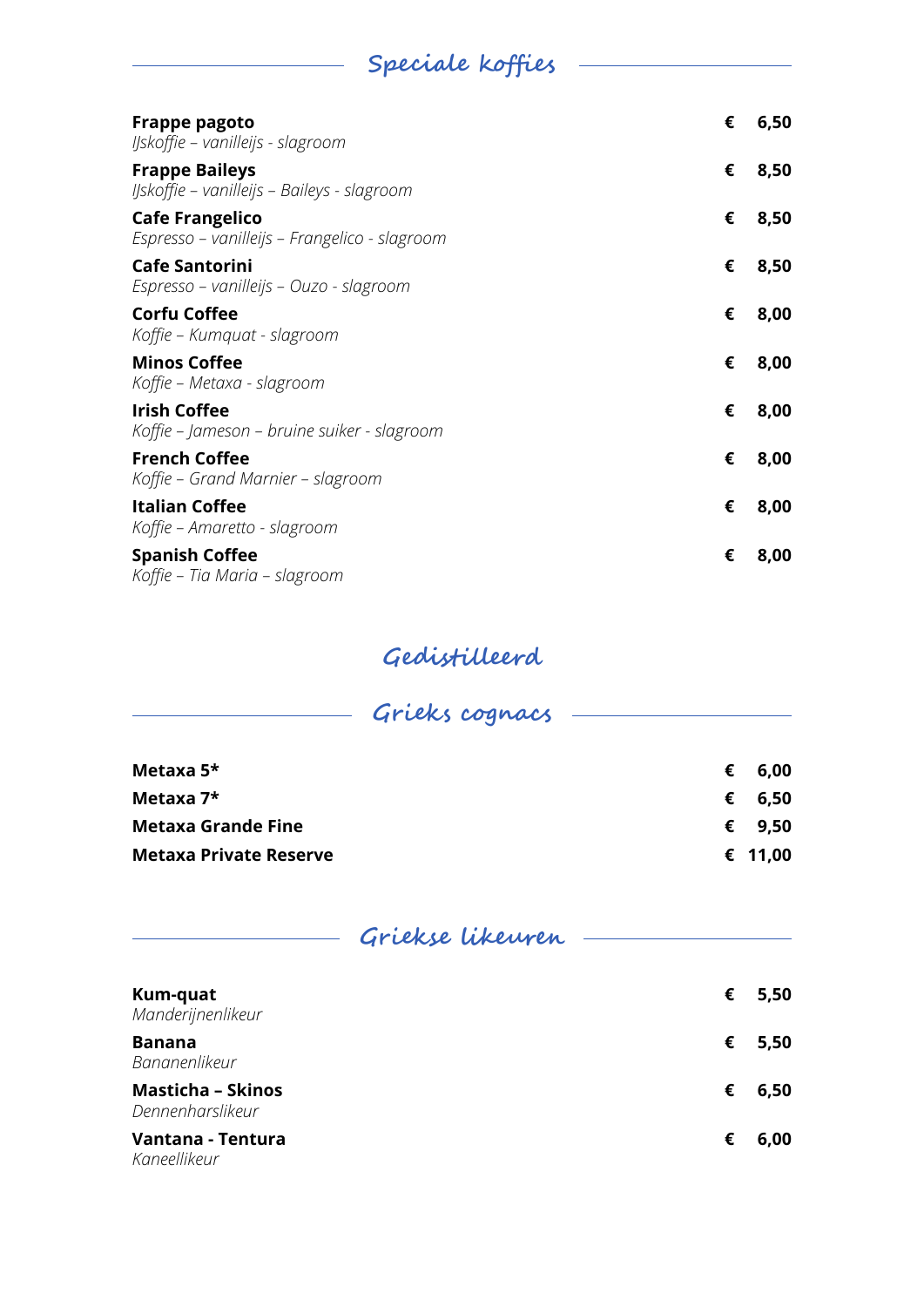## **Speciale koffies**

| <b>Frappe pagoto</b><br>IJskoffie – vanilleijs - slagroom               | € | 6,50 |
|-------------------------------------------------------------------------|---|------|
| <b>Frappe Baileys</b><br>IJskoffie – vanilleijs – Baileys - slagroom    | € | 8,50 |
| <b>Cafe Frangelico</b><br>Espresso – vanilleijs – Frangelico - slagroom | € | 8,50 |
| <b>Cafe Santorini</b><br>Espresso – vanilleijs – Ouzo - slagroom        | € | 8,50 |
| <b>Corfu Coffee</b><br>Koffie – Kumquat - slagroom                      | € | 8,00 |
| <b>Minos Coffee</b><br>Koffie – Metaxa - slagroom                       | € | 8,00 |
| <b>Irish Coffee</b><br>Koffie – Jameson – bruine suiker - slagroom      | € | 8,00 |
| <b>French Coffee</b><br>Koffie - Grand Marnier - slagroom               | € | 8,00 |
| <b>Italian Coffee</b><br>Koffie – Amaretto - slagroom                   | € | 8,00 |
| <b>Spanish Coffee</b><br>Koffie - Tia Maria - slagroom                  | € | 8,00 |

#### **Gedistilleerd**

| Grieks cognacs -              |   |         |
|-------------------------------|---|---------|
| Metaxa $5*$                   | € | 6,00    |
| Metaxa $7*$                   | € | 6,50    |
| <b>Metaxa Grande Fine</b>     | € | 9,50    |
| <b>Metaxa Private Reserve</b> |   | € 11,00 |

### **Griekse likeuren**

| Kum-quat<br>Manderijnenlikeur                | € | 5,50 |
|----------------------------------------------|---|------|
| <b>Banana</b><br>Bananenlikeur               | € | 5,50 |
| <b>Masticha - Skinos</b><br>Dennenharslikeur | € | 6,50 |
| Vantana - Tentura<br>Kaneellikeur            | € | 6,00 |